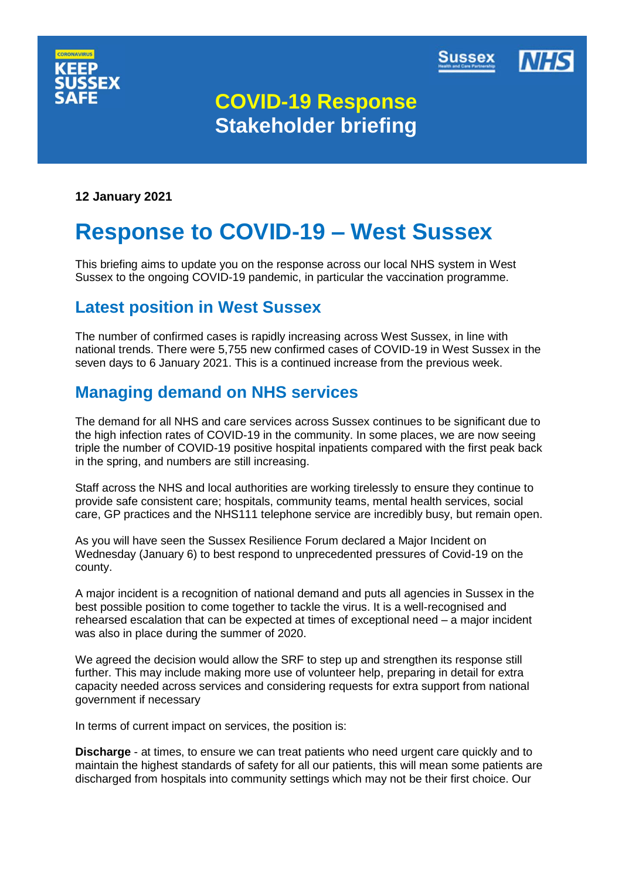



# **COVID-19 Response Stakeholder briefing**

**12 January 2021**

# **Response to COVID-19 – West Sussex**

This briefing aims to update you on the response across our local NHS system in West Sussex to the ongoing COVID-19 pandemic, in particular the vaccination programme.

### **Latest position in West Sussex**

The number of confirmed cases is rapidly increasing across West Sussex, in line with national trends. There were 5,755 new confirmed cases of COVID-19 in West Sussex in the seven days to 6 January 2021. This is a continued increase from the previous week.

## **Managing demand on NHS services**

The demand for all NHS and care services across Sussex continues to be significant due to the high infection rates of COVID-19 in the community. In some places, we are now seeing triple the number of COVID-19 positive hospital inpatients compared with the first peak back in the spring, and numbers are still increasing.

Staff across the NHS and local authorities are working tirelessly to ensure they continue to provide safe consistent care; hospitals, community teams, mental health services, social care, GP practices and the NHS111 telephone service are incredibly busy, but remain open.

As you will have seen the Sussex Resilience Forum declared a Major Incident on Wednesday (January 6) to best respond to unprecedented pressures of Covid-19 on the county.

A major incident is a recognition of national demand and puts all agencies in Sussex in the best possible position to come together to tackle the virus. It is a well-recognised and rehearsed escalation that can be expected at times of exceptional need – a major incident was also in place during the summer of 2020.

We agreed the decision would allow the SRF to step up and strengthen its response still further. This may include making more use of volunteer help, preparing in detail for extra capacity needed across services and considering requests for extra support from national government if necessary

In terms of current impact on services, the position is:

**Discharge** - at times, to ensure we can treat patients who need urgent care quickly and to maintain the highest standards of safety for all our patients, this will mean some patients are discharged from hospitals into community settings which may not be their first choice. Our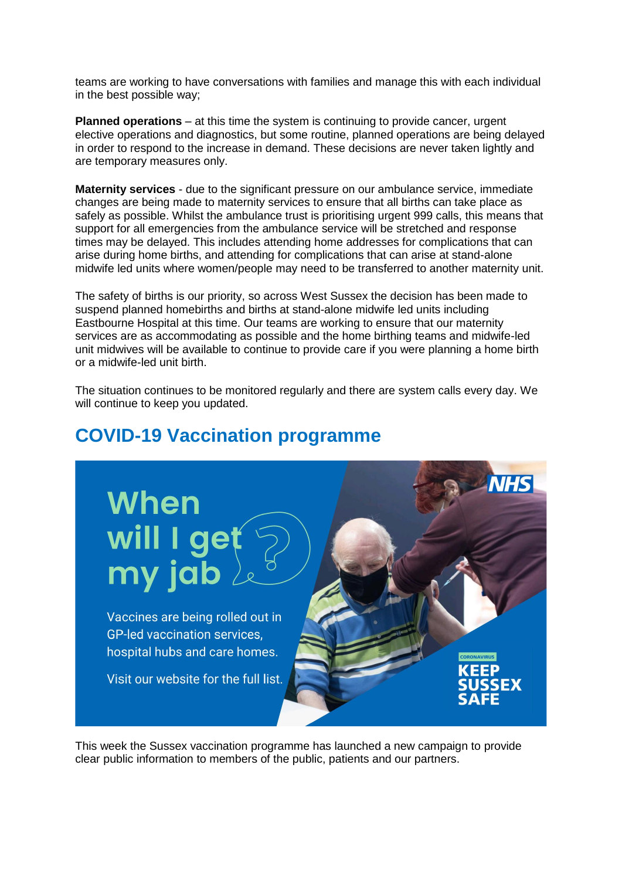teams are working to have conversations with families and manage this with each individual in the best possible way;

**Planned operations** – at this time the system is continuing to provide cancer, urgent elective operations and diagnostics, but some routine, planned operations are being delayed in order to respond to the increase in demand. These decisions are never taken lightly and are temporary measures only.

**Maternity services** - due to the significant pressure on our ambulance service, immediate changes are being made to maternity services to ensure that all births can take place as safely as possible. Whilst the ambulance trust is prioritising urgent 999 calls, this means that support for all emergencies from the ambulance service will be stretched and response times may be delayed. This includes attending home addresses for complications that can arise during home births, and attending for complications that can arise at stand-alone midwife led units where women/people may need to be transferred to another maternity unit.

The safety of births is our priority, so across West Sussex the decision has been made to suspend planned homebirths and births at stand-alone midwife led units including Eastbourne Hospital at this time. Our teams are working to ensure that our maternity services are as accommodating as possible and the home birthing teams and midwife-led unit midwives will be available to continue to provide care if you were planning a home birth or a midwife-led unit birth.

The situation continues to be monitored regularly and there are system calls every day. We will continue to keep you updated.

# **When** will I get my jab Vaccines are being rolled out in **GP-led vaccination services.** hospital hubs and care homes. Visit our website for the full list.

**COVID-19 Vaccination programme**

This week the Sussex vaccination programme has launched a new campaign to provide clear public information to members of the public, patients and our partners.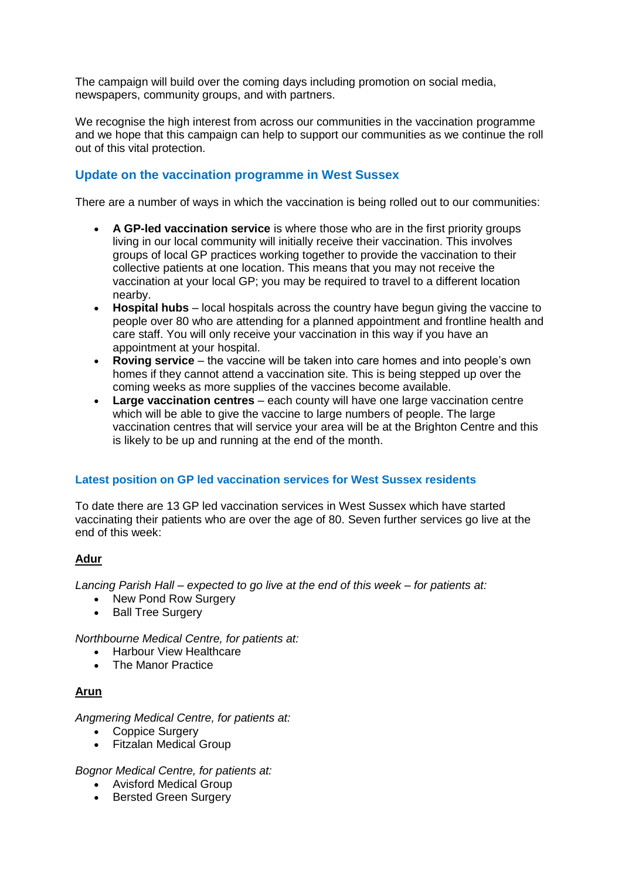The campaign will build over the coming days including promotion on social media, newspapers, community groups, and with partners.

We recognise the high interest from across our communities in the vaccination programme and we hope that this campaign can help to support our communities as we continue the roll out of this vital protection.

#### **Update on the vaccination programme in West Sussex**

There are a number of ways in which the vaccination is being rolled out to our communities:

- **A GP-led vaccination service** is where those who are in the first priority groups living in our local community will initially receive their vaccination. This involves groups of local GP practices working together to provide the vaccination to their collective patients at one location. This means that you may not receive the vaccination at your local GP; you may be required to travel to a different location nearby.
- **Hospital hubs**  local hospitals across the country have begun giving the vaccine to people over 80 who are attending for a planned appointment and frontline health and care staff. You will only receive your vaccination in this way if you have an appointment at your hospital.
- **Roving service**  the vaccine will be taken into care homes and into people's own homes if they cannot attend a vaccination site. This is being stepped up over the coming weeks as more supplies of the vaccines become available.
- **Large vaccination centres**  each county will have one large vaccination centre which will be able to give the vaccine to large numbers of people. The large vaccination centres that will service your area will be at the Brighton Centre and this is likely to be up and running at the end of the month.

#### **Latest position on GP led vaccination services for West Sussex residents**

To date there are 13 GP led vaccination services in West Sussex which have started vaccinating their patients who are over the age of 80. Seven further services go live at the end of this week:

#### **Adur**

*Lancing Parish Hall – expected to go live at the end of this week – for patients at:*

- New Pond Row Surgery
- Ball Tree Surgery

*Northbourne Medical Centre, for patients at:*

- Harbour View Healthcare
- The Manor Practice

#### **Arun**

*Angmering Medical Centre, for patients at:*

- Coppice Surgery
- Fitzalan Medical Group

*Bognor Medical Centre, for patients at:*

- Avisford Medical Group
- Bersted Green Surgery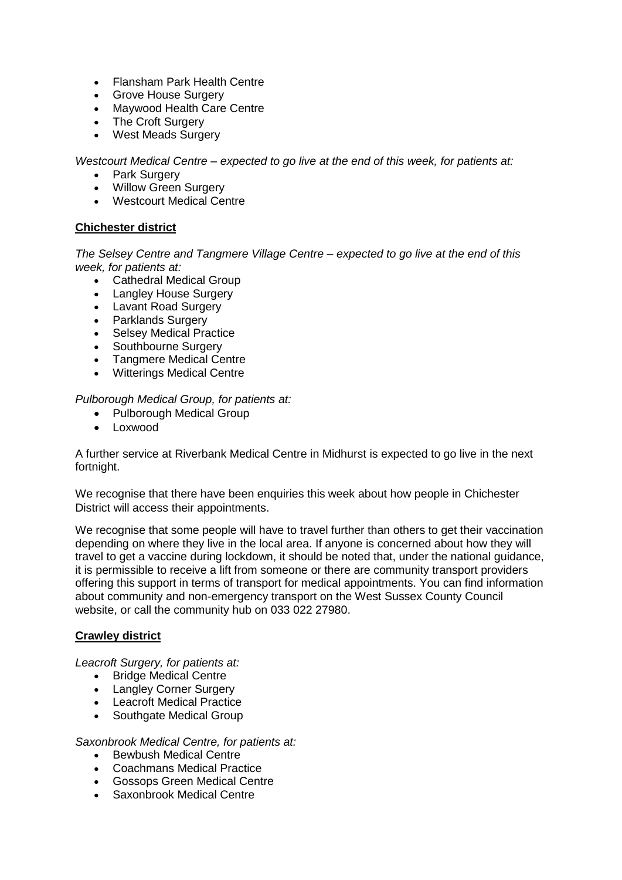- Flansham Park Health Centre
- Grove House Surgery
- Maywood Health Care Centre
- The Croft Surgery
- West Meads Surgery

*Westcourt Medical Centre – expected to go live at the end of this week, for patients at:*

- Park Surgery
- Willow Green Surgery
- Westcourt Medical Centre

#### **Chichester district**

*The Selsey Centre and Tangmere Village Centre – expected to go live at the end of this week, for patients at:*

- Cathedral Medical Group
- Langley House Surgery
- Lavant Road Surgery
- Parklands Surgery
- Selsey Medical Practice
- Southbourne Surgery
- Tangmere Medical Centre
- Witterings Medical Centre

*Pulborough Medical Group, for patients at:*

- Pulborough Medical Group
- Loxwood

A further service at Riverbank Medical Centre in Midhurst is expected to go live in the next fortnight.

We recognise that there have been enquiries this week about how people in Chichester District will access their appointments.

We recognise that some people will have to travel further than others to get their vaccination depending on where they live in the local area. If anyone is concerned about how they will travel to get a vaccine during lockdown, it should be noted that, under the national guidance, it is permissible to receive a lift from someone or there are community transport providers offering this support in terms of transport for medical appointments. You can find information about community and non-emergency transport on the West Sussex County Council website, or call the community hub on 033 022 27980.

#### **Crawley district**

*Leacroft Surgery, for patients at:*

- Bridge Medical Centre
- Langley Corner Surgery
- Leacroft Medical Practice
- Southgate Medical Group

*Saxonbrook Medical Centre, for patients at:*

- Bewbush Medical Centre
- Coachmans Medical Practice
- Gossops Green Medical Centre
- Saxonbrook Medical Centre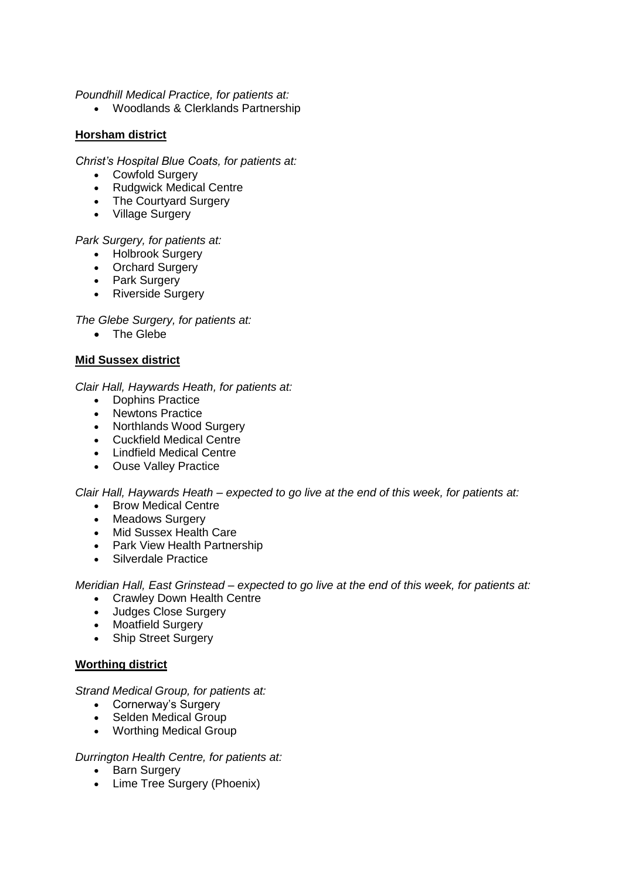*Poundhill Medical Practice, for patients at:*

Woodlands & Clerklands Partnership

#### **Horsham district**

*Christ's Hospital Blue Coats, for patients at:*

- Cowfold Surgery
- Rudgwick Medical Centre
- The Courtyard Surgery
- Village Surgery

*Park Surgery, for patients at:*

- Holbrook Surgery
- Orchard Surgery
- Park Surgery
- Riverside Surgery

*The Glebe Surgery, for patients at:*

• The Glebe

#### **Mid Sussex district**

*Clair Hall, Haywards Heath, for patients at:*

- Dophins Practice
- Newtons Practice
- Northlands Wood Surgery
- Cuckfield Medical Centre
- Lindfield Medical Centre
- Ouse Valley Practice

*Clair Hall, Haywards Heath – expected to go live at the end of this week, for patients at:*

- Brow Medical Centre
- Meadows Surgery
- Mid Sussex Health Care
- Park View Health Partnership
- Silverdale Practice

*Meridian Hall, East Grinstead – expected to go live at the end of this week, for patients at:*

- Crawley Down Health Centre
- Judges Close Surgery
- Moatfield Surgery
- Ship Street Surgery

#### **Worthing district**

#### *Strand Medical Group, for patients at:*

- Cornerway's Surgery
- Selden Medical Group
- Worthing Medical Group

#### *Durrington Health Centre, for patients at:*

- Barn Surgery
- Lime Tree Surgery (Phoenix)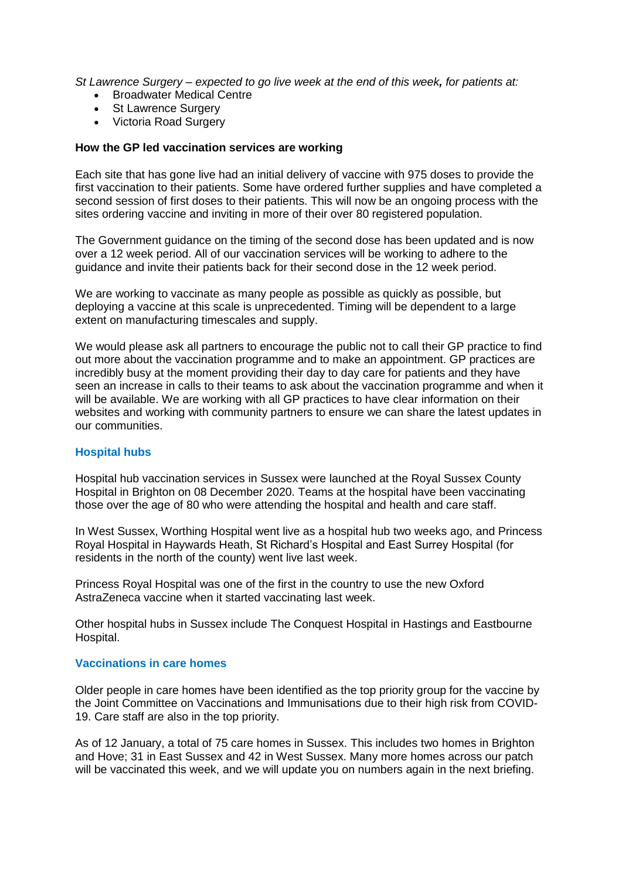*St Lawrence Surgery – expected to go live week at the end of this week, for patients at:*

- Broadwater Medical Centre
- St Lawrence Surgery
- Victoria Road Surgery

#### **How the GP led vaccination services are working**

Each site that has gone live had an initial delivery of vaccine with 975 doses to provide the first vaccination to their patients. Some have ordered further supplies and have completed a second session of first doses to their patients. This will now be an ongoing process with the sites ordering vaccine and inviting in more of their over 80 registered population.

The Government guidance on the timing of the second dose has been updated and is now over a 12 week period. All of our vaccination services will be working to adhere to the guidance and invite their patients back for their second dose in the 12 week period.

We are working to vaccinate as many people as possible as quickly as possible, but deploying a vaccine at this scale is unprecedented. Timing will be dependent to a large extent on manufacturing timescales and supply.

We would please ask all partners to encourage the public not to call their GP practice to find out more about the vaccination programme and to make an appointment. GP practices are incredibly busy at the moment providing their day to day care for patients and they have seen an increase in calls to their teams to ask about the vaccination programme and when it will be available. We are working with all GP practices to have clear information on their websites and working with community partners to ensure we can share the latest updates in our communities.

#### **Hospital hubs**

Hospital hub vaccination services in Sussex were launched at the Royal Sussex County Hospital in Brighton on 08 December 2020. Teams at the hospital have been vaccinating those over the age of 80 who were attending the hospital and health and care staff.

In West Sussex, Worthing Hospital went live as a hospital hub two weeks ago, and Princess Royal Hospital in Haywards Heath, St Richard's Hospital and East Surrey Hospital (for residents in the north of the county) went live last week.

Princess Royal Hospital was one of the first in the country to use the new Oxford AstraZeneca vaccine when it started vaccinating last week.

Other hospital hubs in Sussex include The Conquest Hospital in Hastings and Eastbourne Hospital.

#### **Vaccinations in care homes**

Older people in care homes have been identified as the top priority group for the vaccine by the Joint Committee on Vaccinations and Immunisations due to their high risk from COVID-19. Care staff are also in the top priority.

As of 12 January, a total of 75 care homes in Sussex. This includes two homes in Brighton and Hove; 31 in East Sussex and 42 in West Sussex. Many more homes across our patch will be vaccinated this week, and we will update you on numbers again in the next briefing.